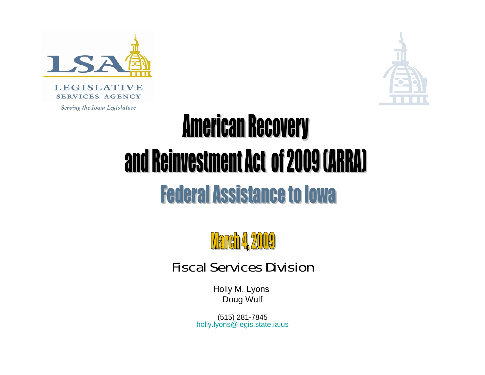



# **American Recovery** and Reinvestment Act of 2009 (ARRA) **Federal Assistance to Iowa**



#### Fiscal Services Division

Holly M. Lyons Doug Wulf

(515) 281-7845 holly.lyons@legis.state.ia.us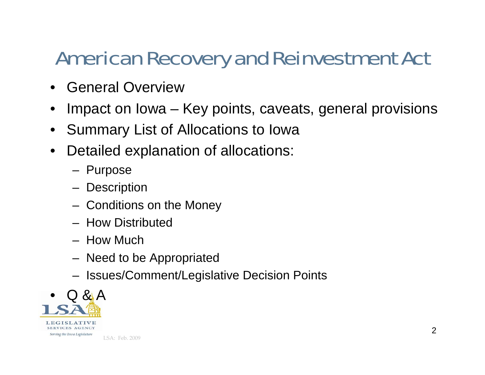# American Recovery and Reinvestment Act

- General Overview
- $\bullet$ Impact on Iowa – Key points, caveats, general provisions
- $\bullet$ Summary List of Allocations to Iowa
- $\bullet$  Detailed explanation of allocations:
	- Purpose
	- **Description**
	- Conditions on the Money
	- How Distributed
	- How Much
	- Need to be Appropriated
	- Issues/Comment/Legislative Decision Points

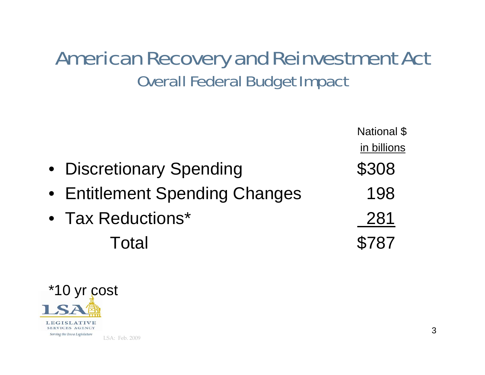#### American Recovery and Reinvestment Act Overall Federal Budget Impact

|                                | National \$ |
|--------------------------------|-------------|
|                                | in billions |
| • Discretionary Spending       | \$308       |
| • Entitlement Spending Changes | 198         |
| • Tax Reductions*              | 281         |
| Total                          | \$787       |

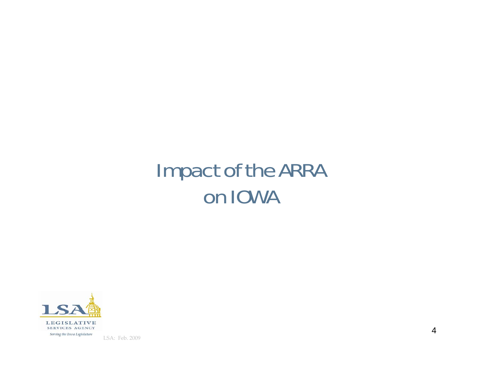# Impact of the ARRA on IOWA

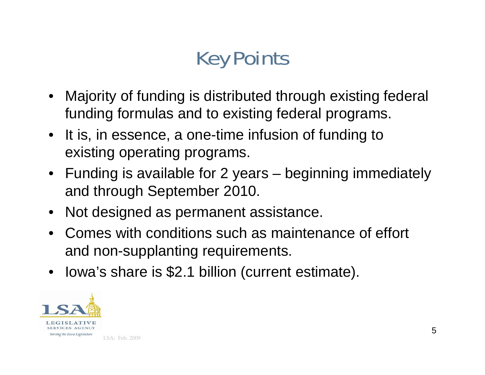# Key Points

- Majority of funding is distributed through existing federal funding formulas and to existing federal programs.
- It is, in essence, a one-time infusion of funding to existing operating programs.
- Funding is available for 2 years beginning immediately and through September 2010.
- Not designed as permanent assistance.
- Comes with conditions such as maintenance of effort and non-supplanting requirements.
- Iowa's share is \$2.1 billion (current estimate).

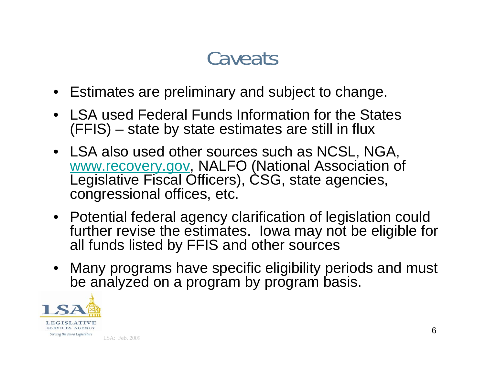# **Caveats**

- Estimates are preliminary and subject to change.
- LSA used Federal Funds Information for the States (FFIS) – state by state estimates are still in flux
- LSA also used other sources such as NCSL, NGA, www.recovery.gov, NALFO (National Association of Legislative Fiscal Officers), CSG, state agencies, congressional offices, etc.
- Potential federal agency clarification of legislation could further revise the estimates. Iowa may not be eligible for all funds listed by FFIS and other sources
- Many programs have specific eligibility periods and must be analyzed on a program by program basis.

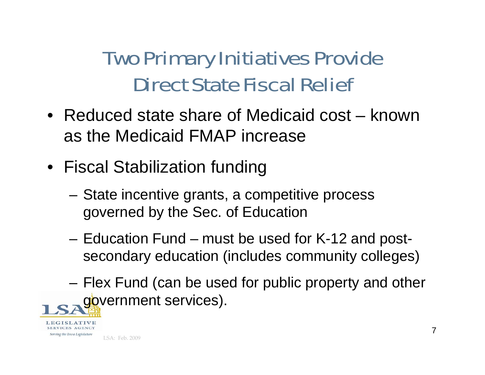# Two Primary Initiatives Provide Direct State Fiscal Relief

- Reduced state share of Medicaid cost known as the Medicaid FMAP increase
- Fiscal Stabilization funding
	- State incentive grants, a competitive process governed by the Sec. of Education
	- – Education Fund – must be used for K-12 and postsecondary education (includes community colleges)
	- – Flex Fund (can be used for public property and other government services).

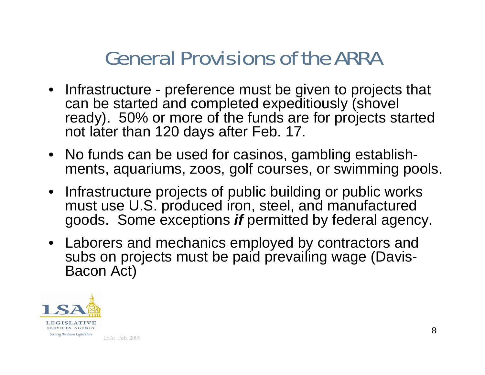# General Provisions of the ARRA

- Infrastructure preference must be given to projects that can be started and completed expeditiously (shovel ready). 50% or more of the funds are for projects started not later than 120 days after Feb. 17.
- No funds can be used for casinos, gambling establishments, aquariums, zoos, golf courses, or swimming pools.
- Infrastructure projects of public building or public works must use U.S. produced iron, steel, and manufactured goods. Some exceptions *if* permitted by federal agency.
- Laborers and mechanics employed by contractors and subs on projects must be paid prevailing wage (Davis-Bacon Act)

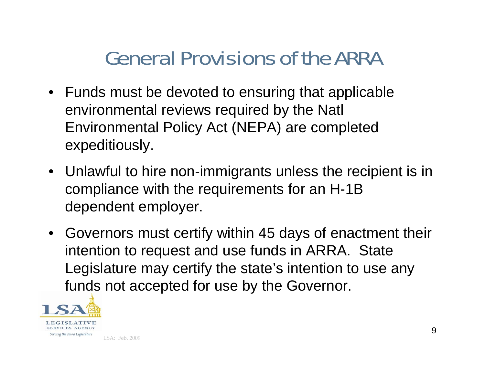# General Provisions of the ARRA

- Funds must be devoted to ensuring that applicable environmental reviews required by the Natl Environmental Policy Act (NEPA) are completed expeditiously.
- Unlawful to hire non-immigrants unless the recipient is in compliance with the requirements for an H-1B dependent employer.
- Governors must certify within 45 days of enactment their intention to request and use funds in ARRA. State Legislature may certify the state's intention to use any funds not accepted for use by the Governor.

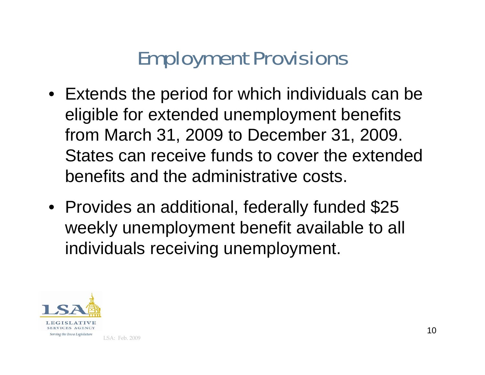# Employment Provisions

- Extends the period for which individuals can be eligible for extended unemployment benefits from March 31, 2009 to December 31, 2009. States can receive funds to cover the extended benefits and the administrative costs.
- Provides an additional, federally funded \$25 weekly unemployment benefit available to all individuals receiving unemployment.

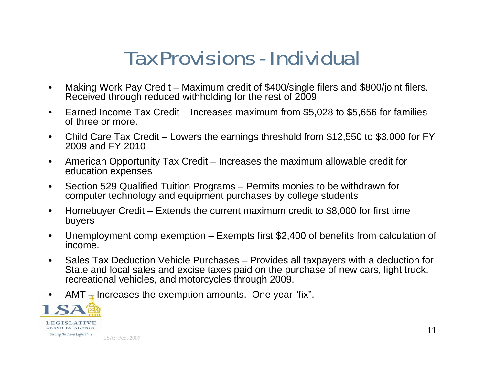# Tax Provisions - Individual

- $\bullet$  Making Work Pay Credit – Maximum credit of \$400/single filers and \$800/joint filers. Received through reduced withholding for the rest of 2009.
- $\bullet$  Earned Income Tax Credit – Increases maximum from \$5,028 to \$5,656 for families of three or more.
- • Child Care Tax Credit – Lowers the earnings threshold from \$12,550 to \$3,000 for FY 2009 and FY 2010
- $\bullet$  American Opportunity Tax Credit – Increases the maximum allowable credit for education expenses
- $\bullet$  Section 529 Qualified Tuition Programs – Permits monies to be withdrawn for computer technology and equipment purchases by college students
- $\bullet$  Homebuyer Credit – Extends the current maximum credit to \$8,000 for first time buyers
- • Unemployment comp exemption – Exempts first \$2,400 of benefits from calculation of income.
- $\bullet$  Sales Tax Deduction Vehicle Purchases – Provides all taxpayers with a deduction for State and local sales and excise taxes paid on the purchase of new cars, light truck, recreational vehicles, and motorcycles through 2009.
- $\bullet$ AMT  $\pm$  Increases the exemption amounts. One year "fix".

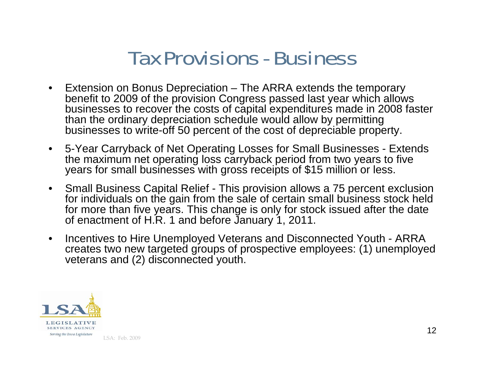#### Tax Provisions - Business

- $\bullet$  Extension on Bonus Depreciation – The ARRA extends the temporary benefit to 2009 of the provision Congress passed last year which allows businesses to recover the costs of capital expenditures made in 2008 faster than the ordinary depreciation schedule would allow by permitting businesses to write-off 50 percent of the cost of depreciable property.
- $\bullet$  5-Year Carryback of Net Operating Losses for Small Businesses - Extends years for small businesses with gross receipts of \$15 million or less.
- $\bullet$  Small Business Capital Relief - This provision allows a 75 percent exclusion for individuals on the gain from the sale of certain small business stock held for more than five years. This change is only for stock issued after the date of enactment of H.R. 1 and before January 1, 2011.
- $\bullet$  Incentives to Hire Unemployed Veterans and Disconnected Youth - ARRA creates two new targeted groups of prospective employees: (1) unemployed veterans and (2) disconnected youth.

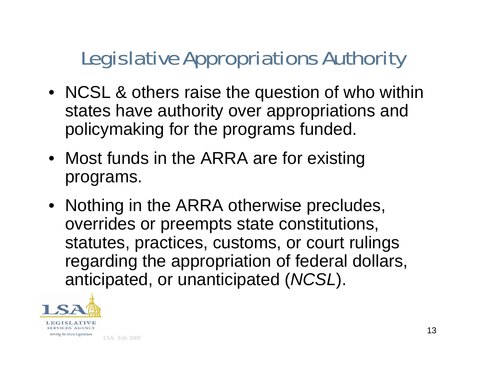# Legislative Appropriations Authority

- NCSL & others raise the question of who within states have authority over appropriations and policymaking for the programs funded.
- Most funds in the ARRA are for existing programs.
- Nothing in the ARRA otherwise precludes, overrides or preempts state constitutions, statutes, practices, customs, or court rulings regarding the appropriation of federal dollars, anticipated, or unanticipated (*NCSL*).

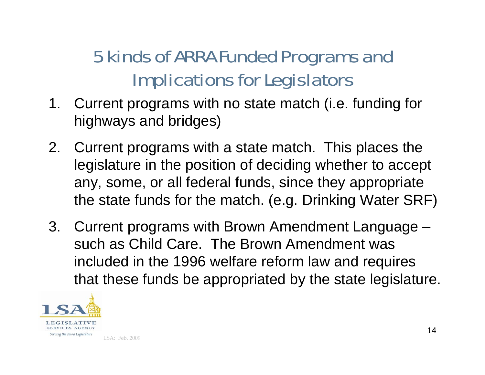#### 5 kinds of ARRA Funded Programs and Implications for Legislators

- 1. Current programs with no state match (i.e. funding for highways and bridges)
- 2. Current programs with a state match. This places the legislature in the position of deciding whether to accept any, some, or all federal funds, since they appropriate the state funds for the match. (e.g. Drinking Water SRF)
- 3. Current programs with Brown Amendment Language such as Child Care. The Brown Amendment was included in the 1996 welfare reform law and requires that these funds be appropriated by the state legislature.

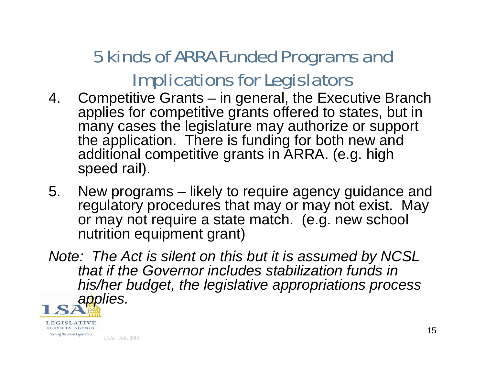#### 5 kinds of ARRA Funded Programs and Implications for Legislators

- 4. Competitive Grants in general, the Executive Branch applies for competitive grants offered to states, but in many cases the legislature may authorize or support the application. There is funding for both new and additional competitive grants in ARRA. (e.g. high speed rail).
- 5. New programs likely to require agency guidance and regulatory procedures that may or may not exist. May or may not require a state match. (e.g. new school nutrition equipment grant)
- *Note: The Act is silent on this but it is assumed by NCSL that if the Governor includes stabilization funds in his/her budget, the legislative appropriations process applies.*



SERVICES AGENCY Serving the Iowa Legislature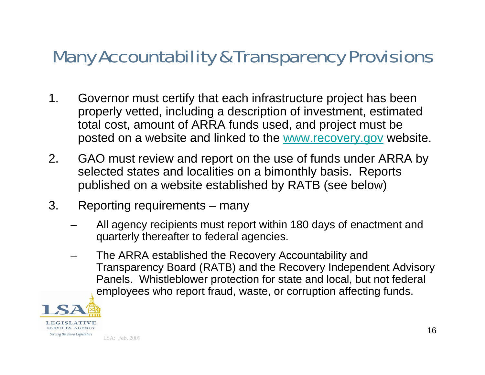#### Many Accountability & Transparency Provisions

- 1. Governor must certify that each infrastructure project has been properly vetted, including a description of investment, estimated total cost, amount of ARRA funds used, and project must be posted on a website and linked to the www.recovery.gov website.
- 2. GAO must review and report on the use of funds under ARRA by selected states and localities on a bimonthly basis. Reports published on a website established by RATB (see below)
- 3. Reporting requirements many
	- All agency recipients must report within 180 days of enactment and quarterly thereafter to federal agencies.
	- The ARRA established the Recovery Accountability and Transparency Board (RATB) and the Recovery Independent Advisory Panels. Whistleblower protection for state and local, but not federal employees who report fraud, waste, or corruption affecting funds.

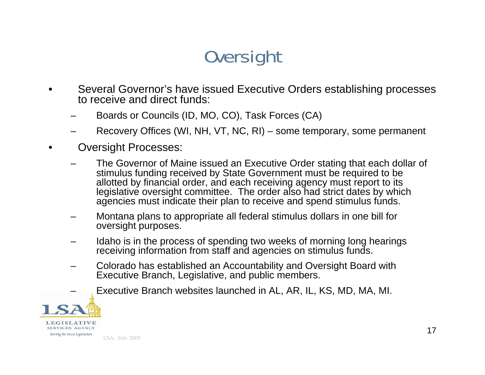#### **Oversight**

- • Several Governor's have issued Executive Orders establishing processes to receive and direct funds:
	- –Boards or Councils (ID, MO, CO), Task Forces (CA)
	- –Recovery Offices (WI, NH, VT, NC, RI) – some temporary, some permanent
- • Oversight Processes:
	- – The Governor of Maine issued an Executive Order stating that each dollar of stimulus funding received by State Government must be required to be allotted by financial order, and each receiving agency must report to its legislative oversight committee. The order also had strict dates by which agencies must indicate their plan to receive and spend stimulus funds.
	- – Montana plans to appropriate all federal stimulus dollars in one bill for oversight purposes.
	- – Idaho is in the process of spending two weeks of morning long hearings receiving information from staff and agencies on stimulus funds.
	- – Colorado has established an Accountability and Oversight Board with Executive Branch, Legislative, and public members.
		- Executive Branch websites launched in AL, AR, IL, KS, MD, MA, MI.



–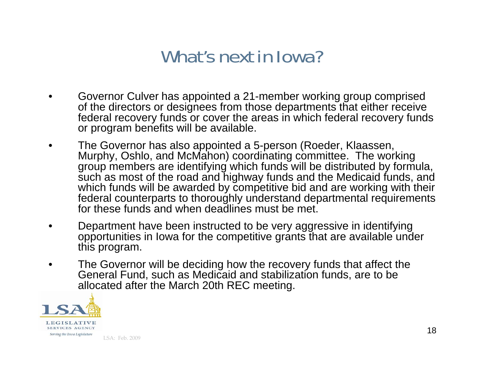#### What's next in Iowa?

- • Governor Culver has appointed a 21-member working group comprised of the directors or designees from those departments that either receive federal recovery funds or cover the areas in which federal recovery funds or program benefits will be available.
- $\bullet$  The Governor has also appointed a 5-person (Roeder, Klaassen, Murphy, Oshlo, and McMahon) coordinating committee. The working group members are identifying which funds will be distributed by formula, such as most of the road and highway funds and the Medicaid funds, and which funds will be awarded by competitive bid and are working with their federal counterparts to thoroughly understand departmental requirements for these funds and when deadlines must be met.
- • Department have been instructed to be very aggressive in identifying opportunities in Iowa for the competitive grants that are available under this program.
- $\bullet$  The Governor will be deciding how the recovery funds that affect the General Fund, such as Medicaid and stabilization funds, are to be allocated after the March 20th REC meeting.

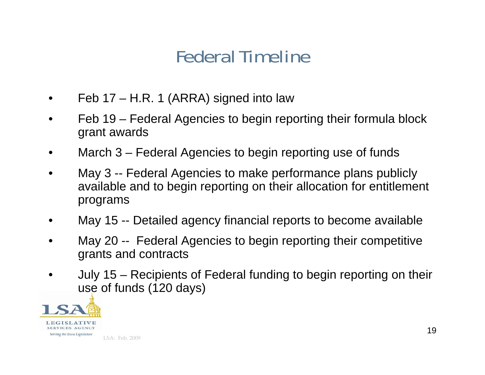#### Federal Timeline

- •Feb 17 – H.R. 1 (ARRA) signed into law
- • Feb 19 – Federal Agencies to begin reporting their formula block grant awards
- •March 3 – Federal Agencies to begin reporting use of funds
- • May 3 -- Federal Agencies to make performance plans publicly available and to begin reporting on their allocation for entitlement programs
- •May 15 -- Detailed agency financial reports to become available
- • May 20 -- Federal Agencies to begin reporting their competitive grants and contracts
- • July 15 – Recipients of Federal funding to begin reporting on their use of funds (120 days)